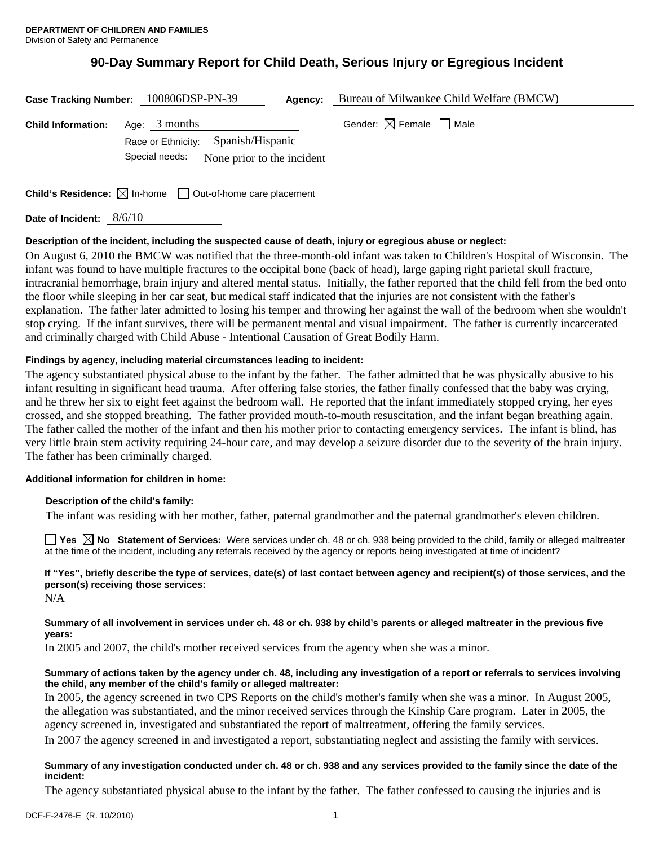# **90-Day Summary Report for Child Death, Serious Injury or Egregious Incident**

|                                                                             | Case Tracking Number: 100806DSP-PN-39<br>Agency:     | Bureau of Milwaukee Child Welfare (BMCW) |
|-----------------------------------------------------------------------------|------------------------------------------------------|------------------------------------------|
| <b>Child Information:</b>                                                   | Age: 3 months<br>Race or Ethnicity: Spanish/Hispanic | Gender: $\boxtimes$ Female $\Box$ Male   |
|                                                                             | Special needs:<br>None prior to the incident         |                                          |
| Child's Residence: $\boxtimes$ In-home<br>$\Box$ Out-of-home care placement |                                                      |                                          |

**Date of Incident:** 8/6/10

# **Description of the incident, including the suspected cause of death, injury or egregious abuse or neglect:**

On August 6, 2010 the BMCW was notified that the three-month-old infant was taken to Children's Hospital of Wisconsin. The infant was found to have multiple fractures to the occipital bone (back of head), large gaping right parietal skull fracture, intracranial hemorrhage, brain injury and altered mental status. Initially, the father reported that the child fell from the bed onto the floor while sleeping in her car seat, but medical staff indicated that the injuries are not consistent with the father's explanation. The father later admitted to losing his temper and throwing her against the wall of the bedroom when she wouldn't stop crying. If the infant survives, there will be permanent mental and visual impairment. The father is currently incarcerated and criminally charged with Child Abuse - Intentional Causation of Great Bodily Harm.

# **Findings by agency, including material circumstances leading to incident:**

The agency substantiated physical abuse to the infant by the father. The father admitted that he was physically abusive to his infant resulting in significant head trauma. After offering false stories, the father finally confessed that the baby was crying, and he threw her six to eight feet against the bedroom wall. He reported that the infant immediately stopped crying, her eyes crossed, and she stopped breathing. The father provided mouth-to-mouth resuscitation, and the infant began breathing again. The father called the mother of the infant and then his mother prior to contacting emergency services. The infant is blind, has very little brain stem activity requiring 24-hour care, and may develop a seizure disorder due to the severity of the brain injury. The father has been criminally charged.

## **Additional information for children in home:**

## **Description of the child's family:**

The infant was residing with her mother, father, paternal grandmother and the paternal grandmother's eleven children.

■ Yes △ No Statement of Services: Were services under ch. 48 or ch. 938 being provided to the child, family or alleged maltreater at the time of the incident, including any referrals received by the agency or reports being investigated at time of incident?

# **If "Yes", briefly describe the type of services, date(s) of last contact between agency and recipient(s) of those services, and the person(s) receiving those services:**

N/A

## **Summary of all involvement in services under ch. 48 or ch. 938 by child's parents or alleged maltreater in the previous five years:**

In 2005 and 2007, the child's mother received services from the agency when she was a minor.

## **Summary of actions taken by the agency under ch. 48, including any investigation of a report or referrals to services involving the child, any member of the child's family or alleged maltreater:**

In 2005, the agency screened in two CPS Reports on the child's mother's family when she was a minor. In August 2005, the allegation was substantiated, and the minor received services through the Kinship Care program. Later in 2005, the agency screened in, investigated and substantiated the report of maltreatment, offering the family services.

In 2007 the agency screened in and investigated a report, substantiating neglect and assisting the family with services.

# **Summary of any investigation conducted under ch. 48 or ch. 938 and any services provided to the family since the date of the incident:**

The agency substantiated physical abuse to the infant by the father. The father confessed to causing the injuries and is